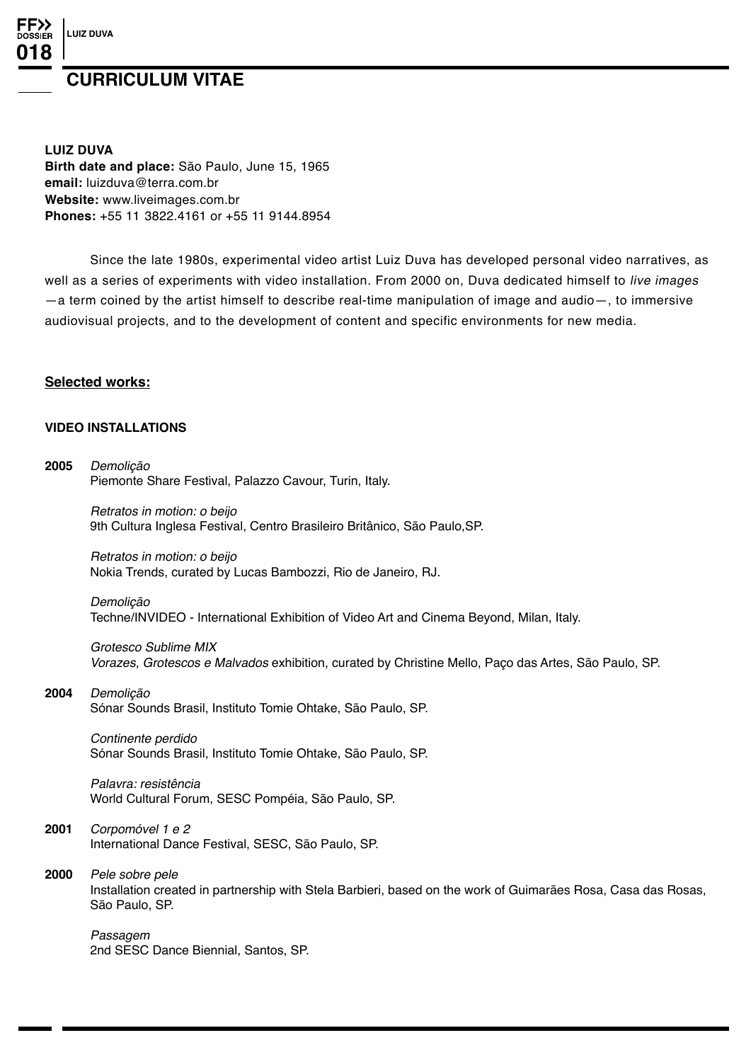# **LUIZ DUVA**

# **CURRICULUM VITAE**

**LUIZ DUVA**

**Birth date and place:** São Paulo, June 15, 1965 **email:** luizduva@terra.com.br **Website:** www.liveimages.com.br **Phones:** +55 11 3822.4161 or +55 11 9144.8954

Since the late 1980s, experimental video artist Luiz Duva has developed personal video narratives, as well as a series of experiments with video installation. From 2000 on, Duva dedicated himself to live images —a term coined by the artist himself to describe real-time manipulation of image and audio—, to immersive audiovisual projects, and to the development of content and specific environments for new media.

# **Selected works:**

# **Video installations**

**2005** Demolição Piemonte Share Festival, Palazzo Cavour, Turin, Italy. Retratos in motion: o beijo 9th Cultura Inglesa Festival, Centro Brasileiro Britânico, São Paulo,SP. Retratos in motion: o beijo Nokia Trends, curated by Lucas Bambozzi, Rio de Janeiro, RJ. Demolição Techne/INVIDEO - International Exhibition of Video Art and Cinema Beyond, Milan, Italy. Grotesco Sublime MIX Vorazes, Grotescos e Malvados exhibition, curated by Christine Mello, Paço das Artes, São Paulo, SP. **2004** Demolição Sónar Sounds Brasil, Instituto Tomie Ohtake, São Paulo, SP. Continente perdido Sónar Sounds Brasil, Instituto Tomie Ohtake, São Paulo, SP. Palavra: resistência World Cultural Forum, SESC Pompéia, São Paulo, SP. **2001** Corpomóvel 1 e 2 International Dance Festival, SESC, São Paulo, SP. **2000** Pele sobre pele Installation created in partnership with Stela Barbieri, based on the work of Guimarães Rosa, Casa das Rosas, São Paulo, SP. Passagem 2nd SESC Dance Biennial, Santos, SP.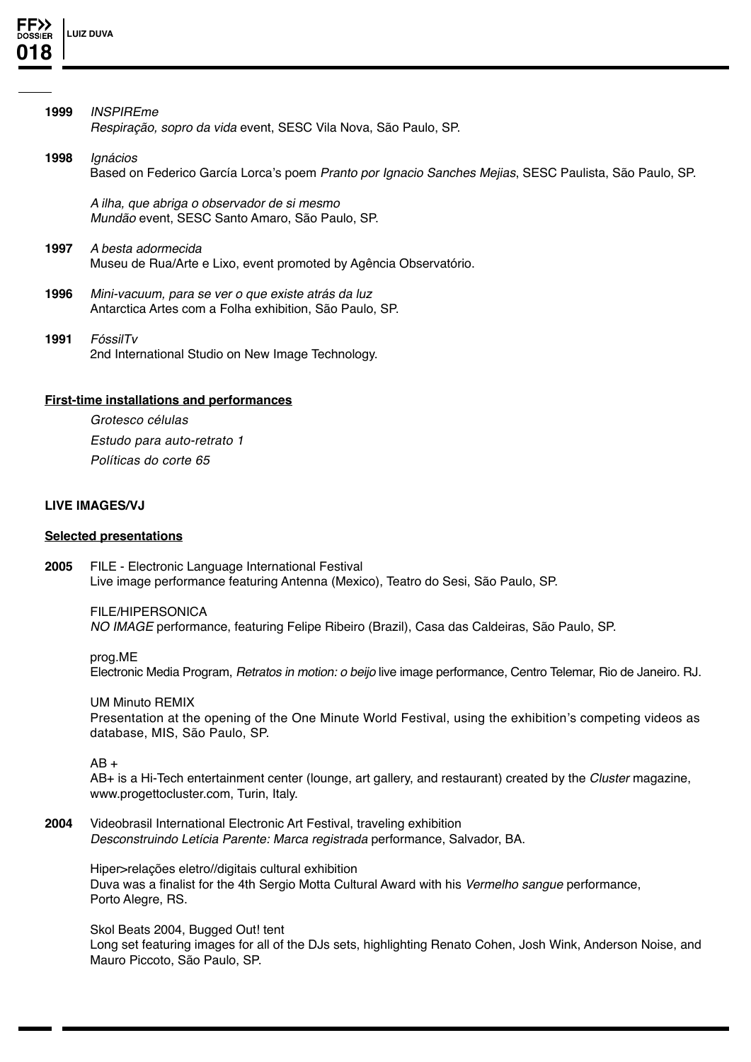

- **1999** INSPIREme Respiração, sopro da vida event, SESC Vila Nova, São Paulo, SP.
- **1998** Ignácios Based on Federico García Lorca's poem Pranto por Ignacio Sanches Mejias, SESC Paulista, São Paulo, SP.

A ilha, que abriga o observador de si mesmo Mundão event, SESC Santo Amaro, São Paulo, SP.

- **1997** A besta adormecida Museu de Rua/Arte e Lixo, event promoted by Agência Observatório.
- **1996** Mini-vacuum, para se ver o que existe atrás da luz Antarctica Artes com a Folha exhibition, São Paulo, SP.
- **1991** FóssilTv 2nd International Studio on New Image Technology.

# **First-time installations and performances**

Grotesco células Estudo para auto-retrato 1 Políticas do corte 65

## **Live Images/VJ**

#### **Selected presentations**

**2005** FILE - Electronic Language International Festival Live image performance featuring Antenna (Mexico), Teatro do Sesi, São Paulo, SP.

FILE/HIPERSONICA NO IMAGE performance, featuring Felipe Ribeiro (Brazil), Casa das Caldeiras, São Paulo, SP.

prog.ME Electronic Media Program, Retratos in motion: o beijo live image performance, Centro Telemar, Rio de Janeiro. RJ.

UM Minuto REMIX Presentation at the opening of the One Minute World Festival, using the exhibition's competing videos as database, MIS, São Paulo, SP.

 $AB +$ 

AB+ is a Hi-Tech entertainment center (lounge, art gallery, and restaurant) created by the Cluster magazine, www.progettocluster.com, Turin, Italy.

**2004** Videobrasil International Electronic Art Festival, traveling exhibition Desconstruindo Letícia Parente: Marca registrada performance, Salvador, BA.

Hiper>relações eletro//digitais cultural exhibition Duva was a finalist for the 4th Sergio Motta Cultural Award with his Vermelho sangue performance, Porto Alegre, RS.

Skol Beats 2004, Bugged Out! tent Long set featuring images for all of the DJs sets, highlighting Renato Cohen, Josh Wink, Anderson Noise, and Mauro Piccoto, São Paulo, SP.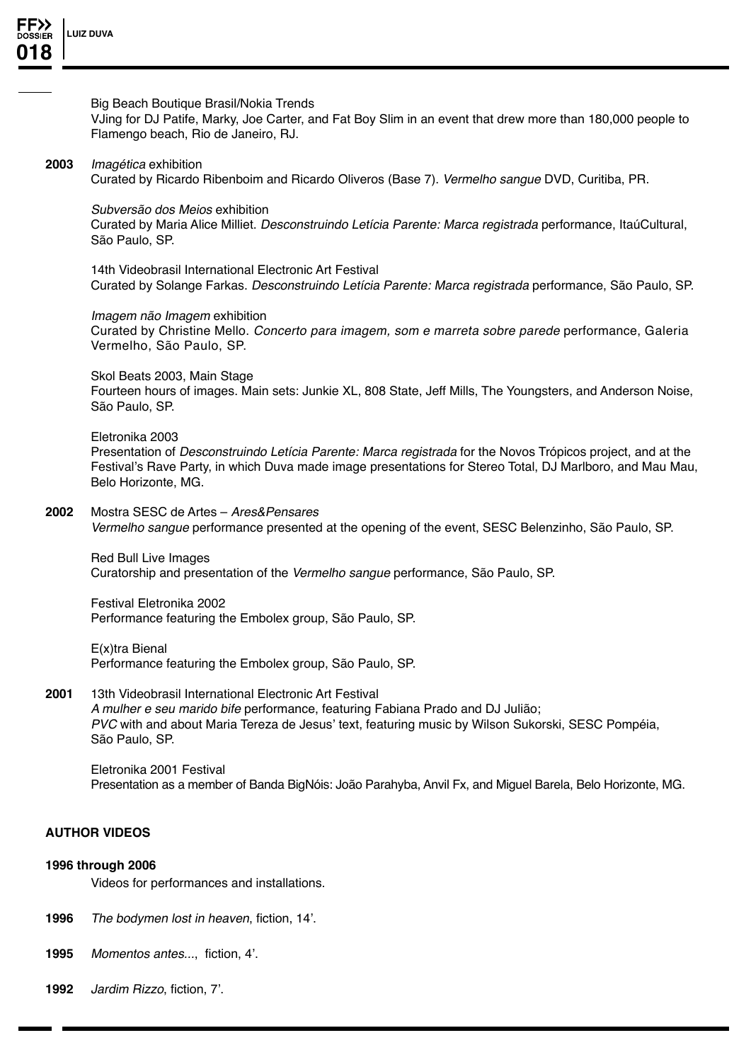

#### Big Beach Boutique Brasil/Nokia Trends

VJing for DJ Patife, Marky, Joe Carter, and Fat Boy Slim in an event that drew more than 180,000 people to Flamengo beach, Rio de Janeiro, RJ.

## **2003** Imagética exhibition

Curated by Ricardo Ribenboim and Ricardo Oliveros (Base 7). Vermelho sangue DVD, Curitiba, PR.

Subversão dos Meios exhibition

Curated by Maria Alice Milliet. Desconstruindo Letícia Parente: Marca registrada performance, ItaúCultural, São Paulo, SP.

14th Videobrasil International Electronic Art Festival Curated by Solange Farkas. Desconstruindo Letícia Parente: Marca registrada performance, São Paulo, SP.

#### Imagem não Imagem exhibition

Curated by Christine Mello. Concerto para imagem, som e marreta sobre parede performance, Galeria Vermelho, São Paulo, SP.

Skol Beats 2003, Main Stage

Fourteen hours of images. Main sets: Junkie XL, 808 State, Jeff Mills, The Youngsters, and Anderson Noise, São Paulo, SP.

#### Eletronika 2003

Presentation of Desconstruindo Letícia Parente: Marca registrada for the Novos Trópicos project, and at the Festival's Rave Party, in which Duva made image presentations for Stereo Total, DJ Marlboro, and Mau Mau, Belo Horizonte, MG.

# **2002** Mostra SESC de Artes – Ares&Pensares

Vermelho sangue performance presented at the opening of the event, SESC Belenzinho, São Paulo, SP.

Red Bull Live Images Curatorship and presentation of the Vermelho sangue performance, São Paulo, SP.

Festival Eletronika 2002 Performance featuring the Embolex group, São Paulo, SP.

E(x)tra Bienal Performance featuring the Embolex group, São Paulo, SP.

## **2001** 13th Videobrasil International Electronic Art Festival

A mulher e seu marido bife performance, featuring Fabiana Prado and DJ Julião; PVC with and about Maria Tereza de Jesus' text, featuring music by Wilson Sukorski, SESC Pompéia, São Paulo, SP.

Eletronika 2001 Festival Presentation as a member of Banda BigNóis: João Parahyba, Anvil Fx, and Miguel Barela, Belo Horizonte, MG.

#### **Author videos**

#### **1996 through 2006**

Videos for performances and installations.

- **1996** The bodymen lost in heaven, fiction, 14'.
- **1995** Momentos antes..., fiction, 4'.
- **1992** Jardim Rizzo, fiction, 7'.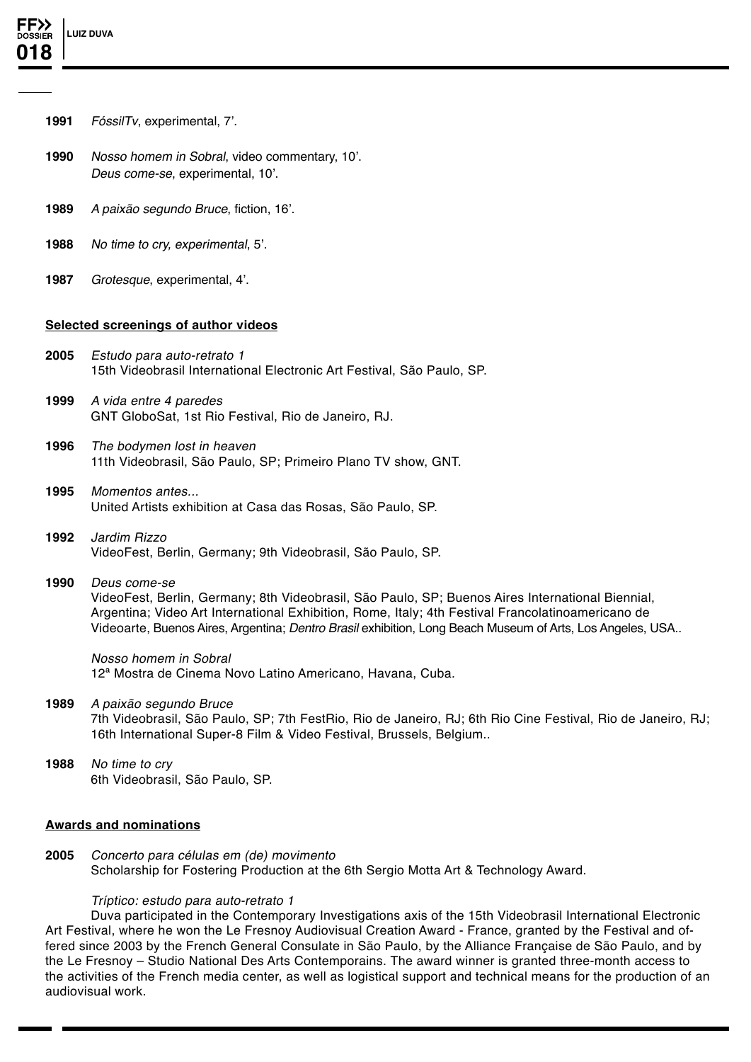- **1991** FóssilTv, experimental, 7'.
- **1990** Nosso homem in Sobral, video commentary, 10'. Deus come-se, experimental, 10'.
- **1989** A paixão segundo Bruce, fiction, 16'.
- **1988** No time to cry, experimental, 5'.
- **1987** Grotesque, experimental, 4'.

# **Selected screenings of author videos**

- **2005** Estudo para auto-retrato 1 15th Videobrasil International Electronic Art Festival, São Paulo, SP.
- **1999** A vida entre 4 paredes GNT GloboSat, 1st Rio Festival, Rio de Janeiro, RJ.
- **1996** The bodymen lost in heaven 11th Videobrasil, São Paulo, SP; Primeiro Plano TV show, GNT.
- **1995** Momentos antes... United Artists exhibition at Casa das Rosas, São Paulo, SP.
- **1992** Jardim Rizzo VideoFest, Berlin, Germany; 9th Videobrasil, São Paulo, SP.
- **1990** Deus come-se VideoFest, Berlin, Germany; 8th Videobrasil, São Paulo, SP; Buenos Aires International Biennial, Argentina; Video Art International Exhibition, Rome, Italy; 4th Festival Francolatinoamericano de

Videoarte, Buenos Aires, Argentina; Dentro Brasil exhibition, Long Beach Museum of Arts, Los Angeles, USA..

Nosso homem in Sobral 12ª Mostra de Cinema Novo Latino Americano, Havana, Cuba.

- **1989** A paixão segundo Bruce 7th Videobrasil, São Paulo, SP; 7th FestRio, Rio de Janeiro, RJ; 6th Rio Cine Festival, Rio de Janeiro, RJ; 16th International Super-8 Film & Video Festival, Brussels, Belgium..
- **1988** No time to cry 6th Videobrasil, São Paulo, SP.

# **Awards and nominations**

**2005** Concerto para células em (de) movimento Scholarship for Fostering Production at the 6th Sergio Motta Art & Technology Award.

# Tríptico: estudo para auto-retrato 1

Duva participated in the Contemporary Investigations axis of the 15th Videobrasil International Electronic Art Festival, where he won the Le Fresnoy Audiovisual Creation Award - France, granted by the Festival and offered since 2003 by the French General Consulate in São Paulo, by the Alliance Française de São Paulo, and by the Le Fresnoy – Studio National Des Arts Contemporains. The award winner is granted three-month access to the activities of the French media center, as well as logistical support and technical means for the production of an audiovisual work.